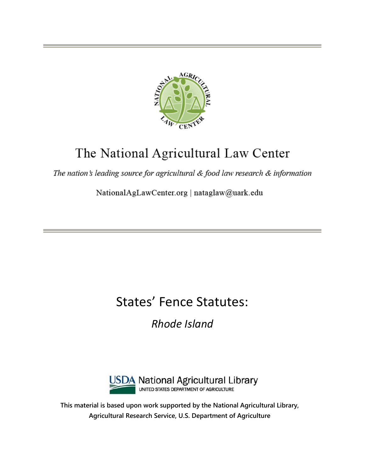

# The National Agricultural Law Center

The nation's leading source for agricultural & food law research & information

NationalAgLawCenter.org | nataglaw@uark.edu

# States' Fence Statutes:

*Rhode Island*



**This material is based upon work supported by the National Agricultural Library, Agricultural Research Service, U.S. Department of Agriculture**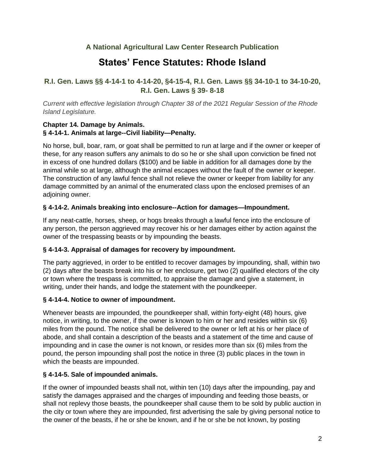# **A National Agricultural Law Center Research Publication**

# **States' Fence Statutes: Rhode Island**

# **R.I. Gen. Laws §§ 4-14-1 to 4-14-20, §4-15-4, R.I. Gen. Laws §§ 34-10-1 to 34-10-20, R.I. Gen. Laws § 39- 8-18**

*Current with effective legislation through Chapter 38 of the 2021 Regular Session of the Rhode Island Legislature.*

#### **Chapter 14. Damage by Animals. § 4-14-1. Animals at large--Civil liability—Penalty.**

No horse, bull, boar, ram, or goat shall be permitted to run at large and if the owner or keeper of these, for any reason suffers any animals to do so he or she shall upon conviction be fined not in excess of one hundred dollars (\$100) and be liable in addition for all damages done by the animal while so at large, although the animal escapes without the fault of the owner or keeper. The construction of any lawful fence shall not relieve the owner or keeper from liability for any damage committed by an animal of the enumerated class upon the enclosed premises of an adjoining owner.

#### **§ 4-14-2. Animals breaking into enclosure--Action for damages—Impoundment.**

If any neat-cattle, horses, sheep, or hogs breaks through a lawful fence into the enclosure of any person, the person aggrieved may recover his or her damages either by action against the owner of the trespassing beasts or by impounding the beasts.

#### **§ 4-14-3. Appraisal of damages for recovery by impoundment.**

The party aggrieved, in order to be entitled to recover damages by impounding, shall, within two (2) days after the beasts break into his or her enclosure, get two (2) qualified electors of the city or town where the trespass is committed, to appraise the damage and give a statement, in writing, under their hands, and lodge the statement with the poundkeeper.

#### **§ 4-14-4. Notice to owner of impoundment.**

Whenever beasts are impounded, the poundkeeper shall, within forty-eight (48) hours, give notice, in writing, to the owner, if the owner is known to him or her and resides within six (6) miles from the pound. The notice shall be delivered to the owner or left at his or her place of abode, and shall contain a description of the beasts and a statement of the time and cause of impounding and in case the owner is not known, or resides more than six (6) miles from the pound, the person impounding shall post the notice in three (3) public places in the town in which the beasts are impounded.

#### **§ 4-14-5. Sale of impounded animals.**

If the owner of impounded beasts shall not, within ten (10) days after the impounding, pay and satisfy the damages appraised and the charges of impounding and feeding those beasts, or shall not replevy those beasts, the poundkeeper shall cause them to be sold by public auction in the city or town where they are impounded, first advertising the sale by giving personal notice to the owner of the beasts, if he or she be known, and if he or she be not known, by posting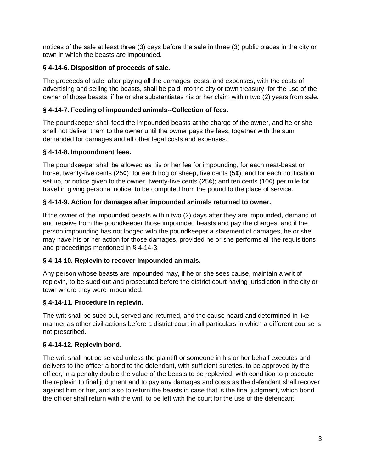notices of the sale at least three (3) days before the sale in three (3) public places in the city or town in which the beasts are impounded.

# **§ 4-14-6. Disposition of proceeds of sale.**

The proceeds of sale, after paying all the damages, costs, and expenses, with the costs of advertising and selling the beasts, shall be paid into the city or town treasury, for the use of the owner of those beasts, if he or she substantiates his or her claim within two (2) years from sale.

# **§ 4-14-7. Feeding of impounded animals--Collection of fees.**

The poundkeeper shall feed the impounded beasts at the charge of the owner, and he or she shall not deliver them to the owner until the owner pays the fees, together with the sum demanded for damages and all other legal costs and expenses.

# **§ 4-14-8. Impoundment fees.**

The poundkeeper shall be allowed as his or her fee for impounding, for each neat-beast or horse, twenty-five cents (25 $\phi$ ); for each hog or sheep, five cents (5 $\phi$ ); and for each notification set up, or notice given to the owner, twenty-five cents  $(25¢)$ ; and ten cents  $(10¢)$  per mile for travel in giving personal notice, to be computed from the pound to the place of service.

# **§ 4-14-9. Action for damages after impounded animals returned to owner.**

If the owner of the impounded beasts within two (2) days after they are impounded, demand of and receive from the poundkeeper those impounded beasts and pay the charges, and if the person impounding has not lodged with the poundkeeper a statement of damages, he or she may have his or her action for those damages, provided he or she performs all the requisitions and proceedings mentioned in § 4-14-3.

#### **§ 4-14-10. Replevin to recover impounded animals.**

Any person whose beasts are impounded may, if he or she sees cause, maintain a writ of replevin, to be sued out and prosecuted before the district court having jurisdiction in the city or town where they were impounded.

#### **§ 4-14-11. Procedure in replevin.**

The writ shall be sued out, served and returned, and the cause heard and determined in like manner as other civil actions before a district court in all particulars in which a different course is not prescribed.

#### **§ 4-14-12. Replevin bond.**

The writ shall not be served unless the plaintiff or someone in his or her behalf executes and delivers to the officer a bond to the defendant, with sufficient sureties, to be approved by the officer, in a penalty double the value of the beasts to be replevied, with condition to prosecute the replevin to final judgment and to pay any damages and costs as the defendant shall recover against him or her, and also to return the beasts in case that is the final judgment, which bond the officer shall return with the writ, to be left with the court for the use of the defendant.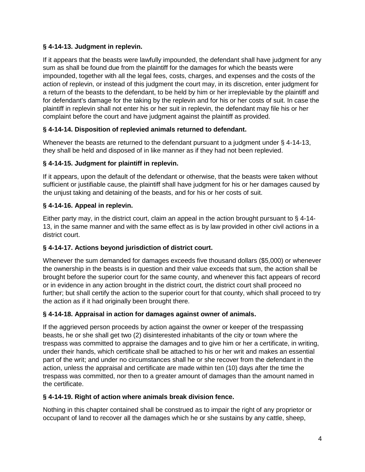# **§ 4-14-13. Judgment in replevin.**

If it appears that the beasts were lawfully impounded, the defendant shall have judgment for any sum as shall be found due from the plaintiff for the damages for which the beasts were impounded, together with all the legal fees, costs, charges, and expenses and the costs of the action of replevin, or instead of this judgment the court may, in its discretion, enter judgment for a return of the beasts to the defendant, to be held by him or her irrepleviable by the plaintiff and for defendant's damage for the taking by the replevin and for his or her costs of suit. In case the plaintiff in replevin shall not enter his or her suit in replevin, the defendant may file his or her complaint before the court and have judgment against the plaintiff as provided.

# **§ 4-14-14. Disposition of replevied animals returned to defendant.**

Whenever the beasts are returned to the defendant pursuant to a judgment under § 4-14-13, they shall be held and disposed of in like manner as if they had not been replevied.

# **§ 4-14-15. Judgment for plaintiff in replevin.**

If it appears, upon the default of the defendant or otherwise, that the beasts were taken without sufficient or justifiable cause, the plaintiff shall have judgment for his or her damages caused by the unjust taking and detaining of the beasts, and for his or her costs of suit.

# **§ 4-14-16. Appeal in replevin.**

Either party may, in the district court, claim an appeal in the action brought pursuant to § 4-14- 13, in the same manner and with the same effect as is by law provided in other civil actions in a district court.

# **§ 4-14-17. Actions beyond jurisdiction of district court.**

Whenever the sum demanded for damages exceeds five thousand dollars (\$5,000) or whenever the ownership in the beasts is in question and their value exceeds that sum, the action shall be brought before the superior court for the same county, and whenever this fact appears of record or in evidence in any action brought in the district court, the district court shall proceed no further; but shall certify the action to the superior court for that county, which shall proceed to try the action as if it had originally been brought there.

#### **§ 4-14-18. Appraisal in action for damages against owner of animals.**

If the aggrieved person proceeds by action against the owner or keeper of the trespassing beasts, he or she shall get two (2) disinterested inhabitants of the city or town where the trespass was committed to appraise the damages and to give him or her a certificate, in writing, under their hands, which certificate shall be attached to his or her writ and makes an essential part of the writ; and under no circumstances shall he or she recover from the defendant in the action, unless the appraisal and certificate are made within ten (10) days after the time the trespass was committed, nor then to a greater amount of damages than the amount named in the certificate.

#### **§ 4-14-19. Right of action where animals break division fence.**

Nothing in this chapter contained shall be construed as to impair the right of any proprietor or occupant of land to recover all the damages which he or she sustains by any cattle, sheep,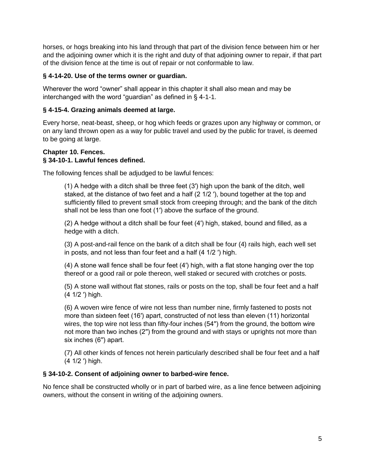horses, or hogs breaking into his land through that part of the division fence between him or her and the adjoining owner which it is the right and duty of that adjoining owner to repair, if that part of the division fence at the time is out of repair or not conformable to law.

#### **§ 4-14-20. Use of the terms owner or guardian.**

Wherever the word "owner" shall appear in this chapter it shall also mean and may be interchanged with the word "guardian" as defined in § 4-1-1.

#### **§ 4-15-4. Grazing animals deemed at large.**

Every horse, neat-beast, sheep, or hog which feeds or grazes upon any highway or common, or on any land thrown open as a way for public travel and used by the public for travel, is deemed to be going at large.

#### **Chapter 10. Fences. § 34-10-1. Lawful fences defined.**

The following fences shall be adjudged to be lawful fences:

(1) A hedge with a ditch shall be three feet (3′) high upon the bank of the ditch, well staked, at the distance of two feet and a half (2 1/2 ′), bound together at the top and sufficiently filled to prevent small stock from creeping through; and the bank of the ditch shall not be less than one foot (1′) above the surface of the ground.

(2) A hedge without a ditch shall be four feet (4′) high, staked, bound and filled, as a hedge with a ditch.

(3) A post-and-rail fence on the bank of a ditch shall be four (4) rails high, each well set in posts, and not less than four feet and a half (4 1/2 ′) high.

(4) A stone wall fence shall be four feet (4′) high, with a flat stone hanging over the top thereof or a good rail or pole thereon, well staked or secured with crotches or posts.

(5) A stone wall without flat stones, rails or posts on the top, shall be four feet and a half (4 1/2 ′) high.

(6) A woven wire fence of wire not less than number nine, firmly fastened to posts not more than sixteen feet (16′) apart, constructed of not less than eleven (11) horizontal wires, the top wire not less than fifty-four inches (54′′) from the ground, the bottom wire not more than two inches (2′′) from the ground and with stays or uprights not more than six inches (6′′) apart.

(7) All other kinds of fences not herein particularly described shall be four feet and a half (4 1/2 ′) high.

#### **§ 34-10-2. Consent of adjoining owner to barbed-wire fence.**

No fence shall be constructed wholly or in part of barbed wire, as a line fence between adjoining owners, without the consent in writing of the adjoining owners.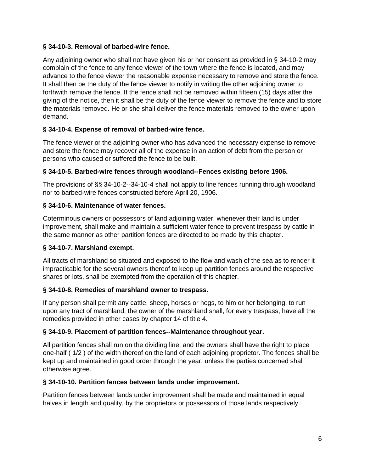#### **§ 34-10-3. Removal of barbed-wire fence.**

Any adjoining owner who shall not have given his or her consent as provided in § 34-10-2 may complain of the fence to any fence viewer of the town where the fence is located, and may advance to the fence viewer the reasonable expense necessary to remove and store the fence. It shall then be the duty of the fence viewer to notify in writing the other adjoining owner to forthwith remove the fence. If the fence shall not be removed within fifteen (15) days after the giving of the notice, then it shall be the duty of the fence viewer to remove the fence and to store the materials removed. He or she shall deliver the fence materials removed to the owner upon demand.

# **§ 34-10-4. Expense of removal of barbed-wire fence.**

The fence viewer or the adjoining owner who has advanced the necessary expense to remove and store the fence may recover all of the expense in an action of debt from the person or persons who caused or suffered the fence to be built.

# **§ 34-10-5. Barbed-wire fences through woodland--Fences existing before 1906.**

The provisions of §§ 34-10-2--34-10-4 shall not apply to line fences running through woodland nor to barbed-wire fences constructed before April 20, 1906.

# **§ 34-10-6. Maintenance of water fences.**

Coterminous owners or possessors of land adjoining water, whenever their land is under improvement, shall make and maintain a sufficient water fence to prevent trespass by cattle in the same manner as other partition fences are directed to be made by this chapter.

#### **§ 34-10-7. Marshland exempt.**

All tracts of marshland so situated and exposed to the flow and wash of the sea as to render it impracticable for the several owners thereof to keep up partition fences around the respective shares or lots, shall be exempted from the operation of this chapter.

#### **§ 34-10-8. Remedies of marshland owner to trespass.**

If any person shall permit any cattle, sheep, horses or hogs, to him or her belonging, to run upon any tract of marshland, the owner of the marshland shall, for every trespass, have all the remedies provided in other cases by chapter 14 of title 4.

#### **§ 34-10-9. Placement of partition fences--Maintenance throughout year.**

All partition fences shall run on the dividing line, and the owners shall have the right to place one-half ( 1/2 ) of the width thereof on the land of each adjoining proprietor. The fences shall be kept up and maintained in good order through the year, unless the parties concerned shall otherwise agree.

#### **§ 34-10-10. Partition fences between lands under improvement.**

Partition fences between lands under improvement shall be made and maintained in equal halves in length and quality, by the proprietors or possessors of those lands respectively.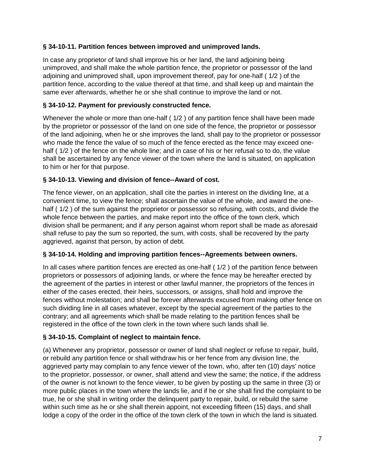# **§ 34-10-11. Partition fences between improved and unimproved lands.**

In case any proprietor of land shall improve his or her land, the land adjoining being unimproved, and shall make the whole partition fence, the proprietor or possessor of the land adjoining and unimproved shall, upon improvement thereof, pay for one-half ( 1/2 ) of the partition fence, according to the value thereof at that time, and shall keep up and maintain the same ever afterwards, whether he or she shall continue to improve the land or not.

# **§ 34-10-12. Payment for previously constructed fence.**

Whenever the whole or more than one-half ( $1/2$ ) of any partition fence shall have been made by the proprietor or possessor of the land on one side of the fence, the proprietor or possessor of the land adjoining, when he or she improves the land, shall pay to the proprietor or possessor who made the fence the value of so much of the fence erected as the fence may exceed onehalf (1/2) of the fence on the whole line; and in case of his or her refusal so to do, the value shall be ascertained by any fence viewer of the town where the land is situated, on application to him or her for that purpose.

#### **§ 34-10-13. Viewing and division of fence--Award of cost.**

The fence viewer, on an application, shall cite the parties in interest on the dividing line, at a convenient time, to view the fence; shall ascertain the value of the whole, and award the onehalf (1/2) of the sum against the proprietor or possessor so refusing, with costs, and divide the whole fence between the parties, and make report into the office of the town clerk, which division shall be permanent; and if any person against whom report shall be made as aforesaid shall refuse to pay the sum so reported, the sum, with costs, shall be recovered by the party aggrieved, against that person, by action of debt.

#### **§ 34-10-14. Holding and improving partition fences--Agreements between owners.**

In all cases where partition fences are erected as one-half ( 1/2 ) of the partition fence between proprietors or possessors of adjoining lands, or where the fence may be hereafter erected by the agreement of the parties in interest or other lawful manner, the proprietors of the fences in either of the cases erected, their heirs, successors, or assigns, shall hold and improve the fences without molestation; and shall be forever afterwards excused from making other fence on such dividing line in all cases whatever, except by the special agreement of the parties to the contrary; and all agreements which shall be made relating to the partition fences shall be registered in the office of the town clerk in the town where such lands shall lie.

#### **§ 34-10-15. Complaint of neglect to maintain fence.**

(a) Whenever any proprietor, possessor or owner of land shall neglect or refuse to repair, build, or rebuild any partition fence or shall withdraw his or her fence from any division line, the aggrieved party may complain to any fence viewer of the town, who, after ten (10) days' notice to the proprietor, possessor, or owner, shall attend and view the same; the notice, if the address of the owner is not known to the fence viewer, to be given by posting up the same in three (3) or more public places in the town where the lands lie, and if he or she shall find the complaint to be true, he or she shall in writing order the delinquent party to repair, build, or rebuild the same within such time as he or she shall therein appoint, not exceeding fifteen (15) days, and shall lodge a copy of the order in the office of the town clerk of the town in which the land is situated.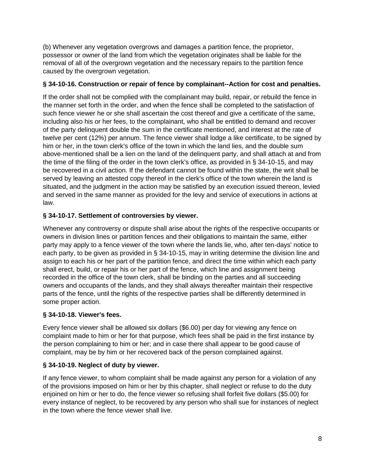(b) Whenever any vegetation overgrows and damages a partition fence, the proprietor, possessor or owner of the land from which the vegetation originates shall be liable for the removal of all of the overgrown vegetation and the necessary repairs to the partition fence caused by the overgrown vegetation.

# **§ 34-10-16. Construction or repair of fence by complainant--Action for cost and penalties.**

If the order shall not be complied with the complainant may build, repair, or rebuild the fence in the manner set forth in the order, and when the fence shall be completed to the satisfaction of such fence viewer he or she shall ascertain the cost thereof and give a certificate of the same, including also his or her fees, to the complainant, who shall be entitled to demand and recover of the party delinquent double the sum in the certificate mentioned, and interest at the rate of twelve per cent (12%) per annum. The fence viewer shall lodge a like certificate, to be signed by him or her, in the town clerk's office of the town in which the land lies, and the double sum above-mentioned shall be a lien on the land of the delinquent party, and shall attach at and from the time of the filing of the order in the town clerk's office, as provided in § 34-10-15, and may be recovered in a civil action. If the defendant cannot be found within the state, the writ shall be served by leaving an attested copy thereof in the clerk's office of the town wherein the land is situated, and the judgment in the action may be satisfied by an execution issued thereon, levied and served in the same manner as provided for the levy and service of executions in actions at law.

# **§ 34-10-17. Settlement of controversies by viewer.**

Whenever any controversy or dispute shall arise about the rights of the respective occupants or owners in division lines or partition fences and their obligations to maintain the same, either party may apply to a fence viewer of the town where the lands lie, who, after ten-days' notice to each party, to be given as provided in § 34-10-15, may in writing determine the division line and assign to each his or her part of the partition fence, and direct the time within which each party shall erect, build, or repair his or her part of the fence, which line and assignment being recorded in the office of the town clerk, shall be binding on the parties and all succeeding owners and occupants of the lands, and they shall always thereafter maintain their respective parts of the fence, until the rights of the respective parties shall be differently determined in some proper action.

# **§ 34-10-18. Viewer's fees.**

Every fence viewer shall be allowed six dollars (\$6.00) per day for viewing any fence on complaint made to him or her for that purpose, which fees shall be paid in the first instance by the person complaining to him or her; and in case there shall appear to be good cause of complaint, may be by him or her recovered back of the person complained against.

# **§ 34-10-19. Neglect of duty by viewer.**

If any fence viewer, to whom complaint shall be made against any person for a violation of any of the provisions imposed on him or her by this chapter, shall neglect or refuse to do the duty enjoined on him or her to do, the fence viewer so refusing shall forfeit five dollars (\$5.00) for every instance of neglect, to be recovered by any person who shall sue for instances of neglect in the town where the fence viewer shall live.